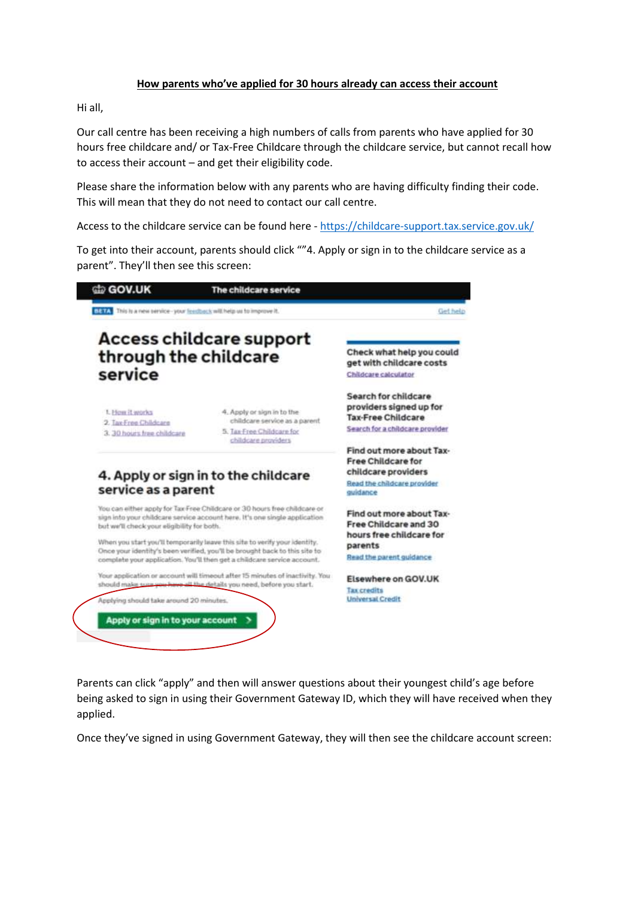## **How parents who've applied for 30 hours already can access their account**

Hi all,

Our call centre has been receiving a high numbers of calls from parents who have applied for 30 hours free childcare and/ or Tax-Free Childcare through the childcare service, but cannot recall how to access their account – and get their eligibility code.

Please share the information below with any parents who are having difficulty finding their code. This will mean that they do not need to contact our call centre.

Access to the childcare service can be found here - <https://childcare-support.tax.service.gov.uk/>

To get into their account, parents should click ""4. Apply or sign in to the childcare service as a parent". They'll then see this screen:



Parents can click "apply" and then will answer questions about their youngest child's age before being asked to sign in using their Government Gateway ID, which they will have received when they applied.

Once they've signed in using Government Gateway, they will then see the childcare account screen: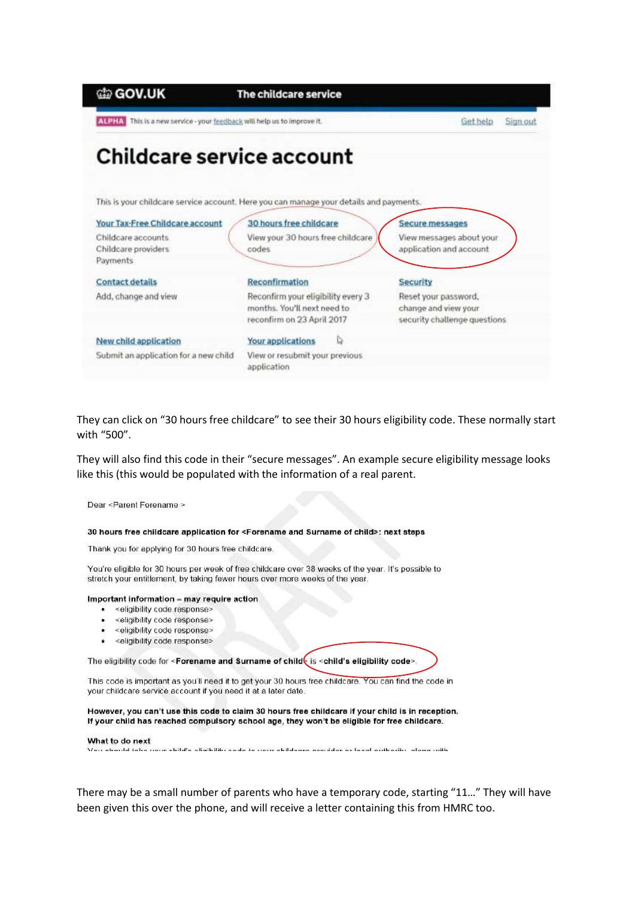| 的 GOV.UK                                                                | The childcare service                                                                  |                              |
|-------------------------------------------------------------------------|----------------------------------------------------------------------------------------|------------------------------|
| ALPHA This is a new service - your feedback will help us to improve it. |                                                                                        | Gethelp<br>Sign out          |
| Childcare service account                                               |                                                                                        |                              |
|                                                                         | This is your childcare service account. Here you can manage your details and payments. |                              |
| Your Tax-Free Childcare account                                         | 30 hours free childcare                                                                | Secure messages              |
| Childcare accounts                                                      | View your 30 hours free childcare                                                      | View messages about your     |
| Childcare providers                                                     | codes                                                                                  | application and account      |
| Payments                                                                |                                                                                        |                              |
| <b>Contact details</b>                                                  | Reconfirmation                                                                         | <b>Security</b>              |
| Add, change and view                                                    | Reconfirm your eligibility every 3                                                     | Reset your password,         |
|                                                                         | months. You'll next need to                                                            | change and view your         |
|                                                                         | reconfirm on 23 April 2017                                                             | security challenge questions |
| New child application                                                   | Your applications                                                                      |                              |
| Submit an application for a new child                                   | View or resubmit your previous                                                         |                              |
|                                                                         | application                                                                            |                              |

They can click on "30 hours free childcare" to see their 30 hours eligibility code. These normally start with "500".

They will also find this code in their "secure messages". An example secure eligibility message looks like this (this would be populated with the information of a real parent.

Dear <Parent Forename >

## 30 hours free childcare application for <Forename and Surname of child>: next steps

Thank you for applying for 30 hours free childcare.

You're eligible for 30 hours per week of free childcare over 38 weeks of the year. It's possible to stretch your entitlement, by taking fewer hours over more weeks of the year.

## Important information - may require action

- <eligibility code response>
- $\ddot{\phantom{0}}$ <eligibility code response>
- <eligibility code response>
- A. <eligibility code response>

The eligibility code for <Forename and Surname of child is <child's eligibility code>

This code is important as you'll need it to get your 30 hours free childcare. You can find the code in your childcare service account if you need it at a later date.

However, you can't use this code to claim 30 hours free childcare if your child is in reception. If your child has reached compulsory school age, they won't be eligible for free childcare.

## What to do next .<br>There also also a fractions is a simple to concern the simple and sense of a continuation of the simple product

There may be a small number of parents who have a temporary code, starting "11..." They will have been given this over the phone, and will receive a letter containing this from HMRC too.